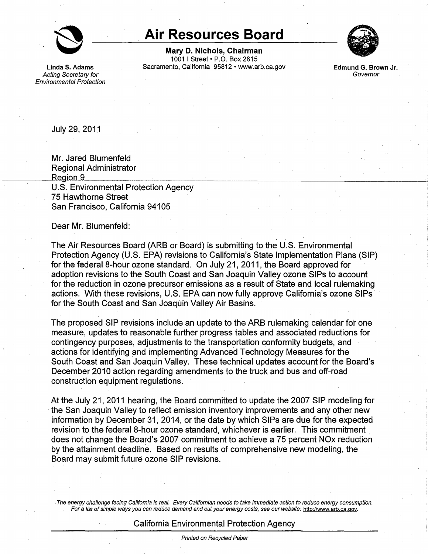

## **Air Resources Board**

**Mary D. Nichols, Chairman**  1001 I Street• P.O. Box 2815 Linda S. Adams **Sacramento, California 95812 • www.arb.ca.gov** 



**Edmund G. Brown Jr. Governor** 

Acting Secretary for Environmental Protection

July 29, 201\_1

 $\overline{\phantom{a}}$ 

Mr. Jared Blumenfeld Regional Administrator<br>Region 9\_\_\_\_\_\_\_\_\_\_\_\_\_\_\_\_\_\_\_\_\_\_\_\_\_\_\_\_\_\_\_\_\_\_\_ U.S. Environmental Protection Agency 75 Hawthorne Street San Francisco, California 94105 \_ \_\_\_\_\_\_\_\_\_\_\_\_\_\_\_\_\_\_\_\_\_\_\_\_:\_;

Dear Mr. Blumenfeld:

The Air Resources Board (ARB or Board) is submitting to the U.S. Environmental Protection Agency (U.S. EPA) revisions to California's State Implementation Plans (SIP) for the federal 8-hour ozone standard. On July 21, 2011, the Board approved for adoption revisions to the South Coast and San Joaquin Valley ozone SIPs to account for the reduction in ozone precursor emissions as a result of State and local rulemaking actions. With these revisions, U.S. EPA can now fully approve California's ozone SIPs · for the South Coast and San Joaquin Valley Air Basins.

The proposed SIP revisions include an update to the ARB rulemaking calendar for one measure, updates to reasonable further progress tables and associated reductions for contingency purposes, adjustments to the transportation conformity budgets, and actions for identifying and implementing Advanced Technology Measures for the South Coast and San Joaquin Valley. These technical updates account for the Board's December 2010 action regarding amendments to the truck and bus and off-road construction equipment regulations.

At the July 21, 2011 hearing, the Board committed to update the 2007 SIP modeling for the San Joaquin Valley to reflect emission inventory improvements and any other new information by December 31, 2014, or the date by which SIPs are due for the expected revision to the federal 8-hour ozone standard, whichever is earlier. This commitment . does not change the Board's 2007 commitment to achieve a 75 percent NOx reduction by the attainment deadline. Based on results of comprehensive new modeling, the Board may submit future ozone SIP revisions .

.The energy challenge facing California is real. /Every Californian needs to take immediate action to reduce energy consumption. For a list ofsimple ways you can reduce demand and cut your energy costs, see our website: [http://www.arb.ca.qov.](http://www.arb.ca.gov)

## California Environmental Protection Agency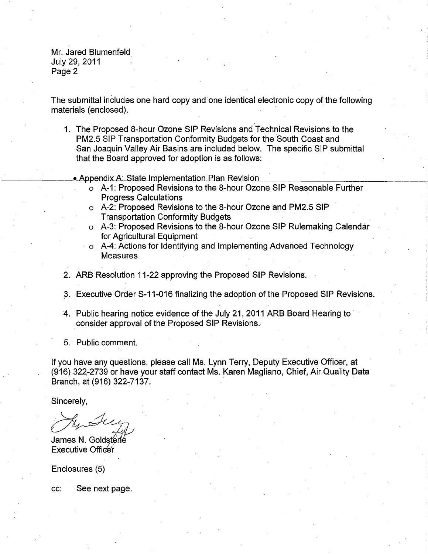Mr. Jared Blumenfeld July 29, 2011 Page 2

The submittal includes one hard copy and· one identical electronic copy of the following materials (enclosed).

1. The Proposed 8-hour Ozone SIP Revisions and Technical Revisions to the PM2.5 SIP Transportation Conformity Budgets for the South Coast and San Joaquin Valley Air Basins are included below. The specific SIP submittal that the Board approved for adoption is as follows:

• Appendix A: State Implementation Plan Revision

- o A-1: Proposed Revisions to the 8-hour Ozone SIP Reasonable Further Progress Calculations
- o A-2: Proposed Revisions to the 8-hour Ozone and PM2.5 SIP Transportation Conformity Budgets
- o .A-3: Proposed Revisions to the 8-hour Ozone SIP Rulemaking Calendar for Agricultural Equipment
- · o \_A-4: Actions for Identifying and Implementing Advanced Technology **Measures**
- 2. ARB Resolution 11-22 approving the Proposed SIP Revisions.
- 3. Executive Order S-11-016 finalizing the adoption of the Proposed SIP Revisions.
- 4. Public hearing notice evidence of the July 21, 2011 ARB Board Hearing to . consider approval of the Proposed SIP Revisions ..
- 5. Public comment.

If you have any questions, please call Ms. Lynn Terry, Deputy Executive Officer, at (916) 322-2739 or have your staff contact Ms. Karen Magliano, Chief, Air Quality Data Branch, at (916) 322-7137.

Sincerely,

sincerely,<br>A<sub>by</sub> *ducy* 

James N. Goldstérlé **Executive Officer** 

Enclosures (5)

cc: See next page.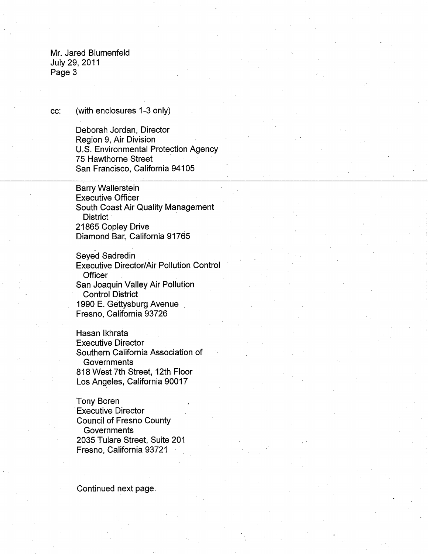Mr. Jared Blumenfeld July 29, 2011 Page 3

## cc: (with enclosures 1-3 only)

Deborah Jordan, Director Region 9, Air Division U.S. Environmental Protection Agency 75 Hawthorne Street San Francisco, California 94105

Barry Wallerstein Executive Officer South Coast Air Quality Management District 21865 Copley Drive Diamond Bar, California 91765

Seyed Sadredin Executive Director/Air Pollution Control **Officer** San Joaquin Valley Air Pollution Control District · 1990 E. Gettysburg Avenue Fresno, California 93726

Hasan lkhrata Executive Director Southern California Association of **Governments** 818 West 7th Street, 12th Floor Los Angeles, California 90017

Tony Boren **Executive Director** Council of Fresno County **Governments** 2035 Tulare Street, Suite 201 Fresno, California 93721

Continued next page.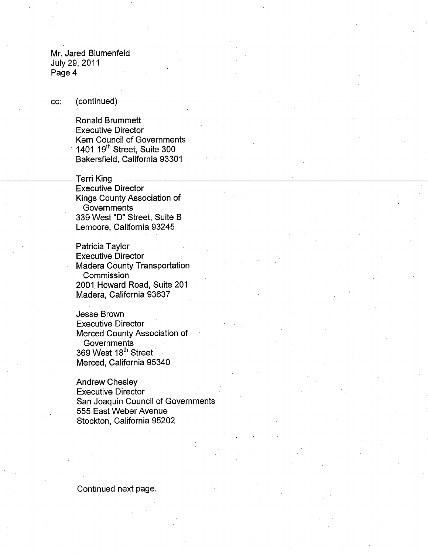Mr. Jared Blumenfeld July 29, 2011 Page 4

cc: (continued)

Ronald Brummett Executive Director Kern Council of Governments · 1401 19th Street, Suite 300 Bakersfield, California 93301

Terri King Executive Director Kings County Association of **Governments** 339 West "D" Street, Suite B Lemoore, California 93245 **Terri King**<br> **Terri King** 

---

Patricia Taylor Executive Director Madera County Transportation **Commission** 2001 Howard Road, Suite 201 Madera, California 93637

Jesse Brown Executive Director Merced County Association of **Governments** 369 West 18<sup>th</sup> Street Merced, California 95340

Andrew Chesley Executive Director San Joaquin Council of Governments 555 East Weber Avenue Stockton, California 95202

Continued next page.